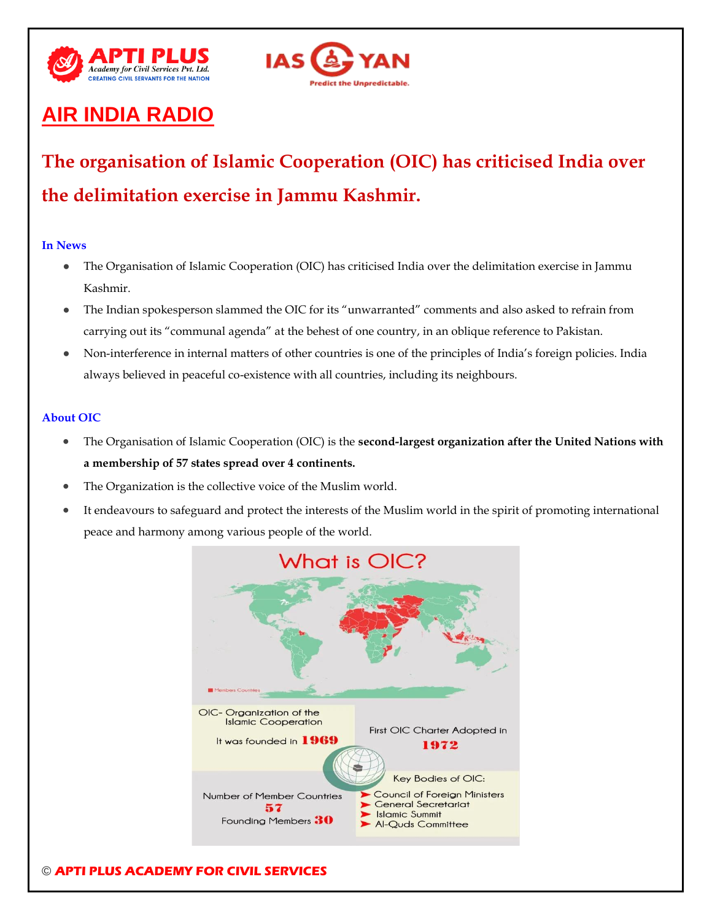



# **AIR INDIA RADIO**

# **The organisation of Islamic Cooperation (OIC) has criticised India over the delimitation exercise in Jammu Kashmir.**

### **In News**

- The Organisation of Islamic Cooperation (OIC) has criticised India over the delimitation exercise in Jammu Kashmir.
- The Indian spokesperson slammed the OIC for its "unwarranted" comments and also asked to refrain from carrying out its "communal agenda" at the behest of one country, in an oblique reference to Pakistan.
- Non-interference in internal matters of other countries is one of the principles of India's foreign policies. India always believed in peaceful co-existence with all countries, including its neighbours.

### **About OIC**

- The Organisation of Islamic Cooperation (OIC) is the **second-largest organization after the United Nations with a membership of 57 states spread over 4 continents.**
- The Organization is the collective voice of the Muslim world.
- It endeavours to safeguard and protect the interests of the Muslim world in the spirit of promoting international peace and harmony among various people of the world.

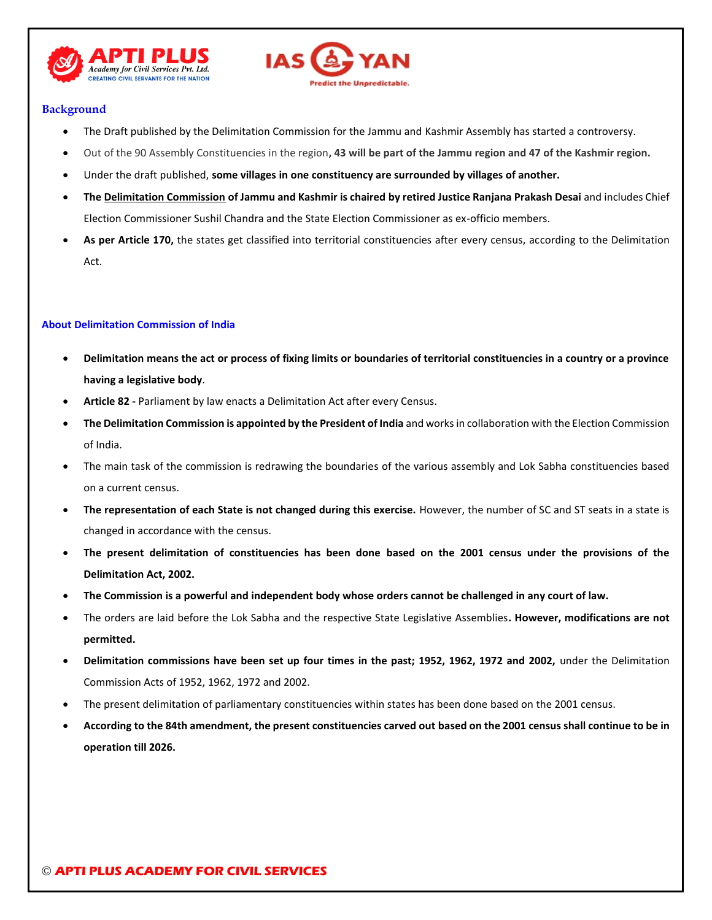



### **Background**

- The Draft published by the Delimitation Commission for the Jammu and Kashmir Assembly has started a controversy.
- Out of the 90 Assembly Constituencies in the region**, 43 will be part of the Jammu region and 47 of the Kashmir region.**
- Under the draft published, **some villages in one constituency are surrounded by villages of another.**
- **Th[e Delimitation Commission](https://www.thehindu.com/news/national/jk-delimitation-panel-gets-two-month-extension/article65073932.ece) of Jammu and Kashmir is chaired by retired Justice Ranjana Prakash Desai** and includes Chief Election Commissioner Sushil Chandra and the State Election Commissioner as ex-officio members.
- As per Article 170, the states get classified into territorial constituencies after every census, according to the Delimitation Act.

### **About Delimitation Commission of India**

- **Delimitation means the act or process of fixing limits or boundaries of territorial constituencies in a country or a province having a legislative body**.
- **Article 82 -** Parliament by law enacts a Delimitation Act after every Census.
- **The Delimitation Commission is appointed by the President of India** and works in collaboration with the Election Commission of India.
- The main task of the commission is redrawing the boundaries of the various assembly and Lok Sabha constituencies based on a current census.
- **The representation of each State is not changed during this exercise.** However, the number of SC and ST seats in a state is changed in accordance with the census.
- **The present delimitation of constituencies has been done based on the 2001 census under the provisions of the Delimitation Act, 2002.**
- **The Commission is a powerful and independent body whose orders cannot be challenged in any court of law.**
- The orders are laid before the Lok Sabha and the respective State Legislative Assemblies**. However, modifications are not permitted.**
- **Delimitation commissions have been set up four times in the past; 1952, 1962, 1972 and 2002,** under the Delimitation Commission Acts of 1952, 1962, 1972 and 2002.
- The present delimitation of parliamentary constituencies within states has been done based on the 2001 census.
- **According to the 84th amendment, the present constituencies carved out based on the 2001 census shall continue to be in operation till 2026.**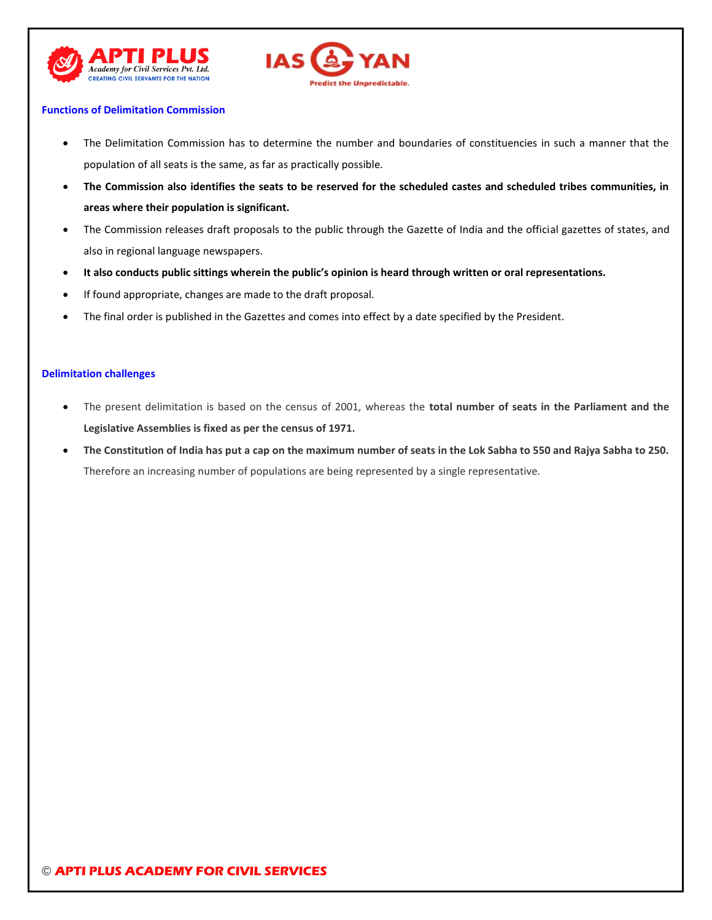



### **Functions of Delimitation Commission**

- The Delimitation Commission has to determine the number and boundaries of constituencies in such a manner that the population of all seats is the same, as far as practically possible.
- **The Commission also identifies the seats to be reserved for the scheduled castes and scheduled tribes communities, in areas where their population is significant.**
- The Commission releases draft proposals to the public through the Gazette of India and the official gazettes of states, and also in regional language newspapers.
- **It also conducts public sittings wherein the public's opinion is heard through written or oral representations.**
- If found appropriate, changes are made to the draft proposal.
- The final order is published in the Gazettes and comes into effect by a date specified by the President.

### **Delimitation challenges**

- The present delimitation is based on the census of 2001, whereas the **total number of seats in the Parliament and the Legislative Assemblies is fixed as per the census of 1971.**
- **The Constitution of India has put a cap on the maximum number of seats in the Lok Sabha to 550 and Rajya Sabha to 250.**  Therefore an increasing number of populations are being represented by a single representative.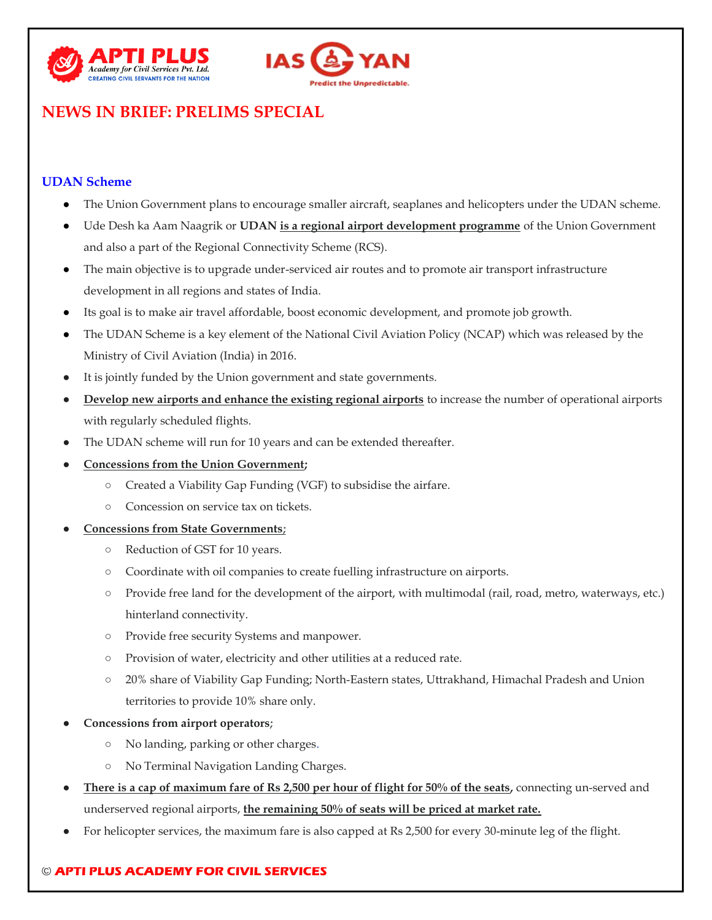



# **NEWS IN BRIEF: PRELIMS SPECIAL**

# **UDAN Scheme**

- The Union Government plans to encourage smaller aircraft, seaplanes and helicopters under the UDAN scheme.
- Ude Desh ka Aam Naagrik or **UDAN is a regional airport development programme** of the Union Government and also a part of the Regional Connectivity Scheme (RCS).
- The main objective is to upgrade under-serviced air routes and to promote air transport infrastructure development in all regions and states of India.
- Its goal is to make air travel affordable, boost economic development, and promote job growth.
- The UDAN Scheme is a key element of the National Civil Aviation Policy (NCAP) which was released by the Ministry of Civil Aviation (India) in 2016.
- It is jointly funded by the Union government and state governments.
- **Develop new airports and enhance the existing regional airports** to increase the number of operational airports with regularly scheduled flights.
- The UDAN scheme will run for 10 years and can be extended thereafter.
- **Concessions from the Union Government;**
	- Created a Viability Gap Funding (VGF) to subsidise the airfare.
	- Concession on service tax on tickets.
- **Concessions from State Governments;**
	- Reduction of GST for 10 years.
	- Coordinate with oil companies to create fuelling infrastructure on airports.
	- Provide free land for the development of the airport, with multimodal (rail, road, metro, waterways, etc.) hinterland connectivity.
	- Provide free security Systems and manpower.
	- Provision of water, electricity and other utilities at a reduced rate.
	- 20% share of Viability Gap Funding; North-Eastern states, Uttrakhand, Himachal Pradesh and Union territories to provide 10% share only.
- **Concessions from airport operators;**
	- No landing, parking or other charges.
	- No Terminal Navigation Landing Charges.
- **There is a cap of maximum fare of Rs 2,500 per hour of flight for 50% of the seats, connecting un-served and** underserved regional airports, **the remaining 50% of seats will be priced at market rate.**
- For helicopter services, the maximum fare is also capped at Rs 2,500 for every 30-minute leg of the flight.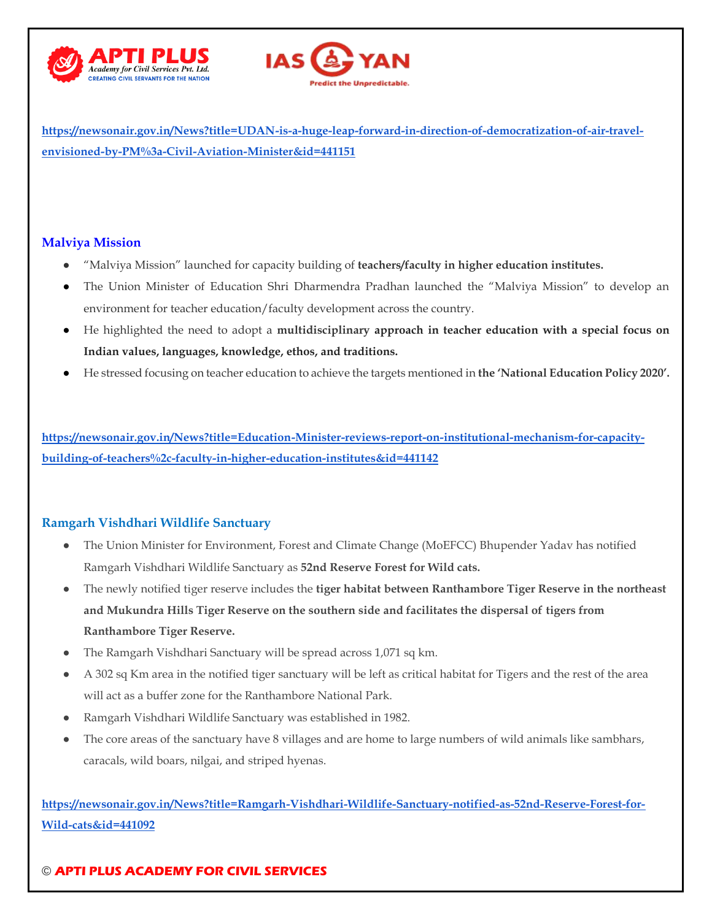



**[https://newsonair.gov.in/News?title=UDAN-is-a-huge-leap-forward-in-direction-of-democratization-of-air-travel](https://newsonair.gov.in/News?title=UDAN-is-a-huge-leap-forward-in-direction-of-democratization-of-air-travel-envisioned-by-PM%3a-Civil-Aviation-Minister&id=441151)[envisioned-by-PM%3a-Civil-Aviation-Minister&id=441151](https://newsonair.gov.in/News?title=UDAN-is-a-huge-leap-forward-in-direction-of-democratization-of-air-travel-envisioned-by-PM%3a-Civil-Aviation-Minister&id=441151)**

### **Malviya Mission**

- "Malviya Mission" launched for capacity building of **teachers/faculty in higher education institutes.**
- The Union Minister of Education Shri Dharmendra Pradhan launched the "Malviya Mission" to develop an environment for teacher education/faculty development across the country.
- He highlighted the need to adopt a **multidisciplinary approach in teacher education with a special focus on Indian values, languages, knowledge, ethos, and traditions.**
- He stressed focusing on teacher education to achieve the targets mentioned in **the 'National Education Policy 2020'.**

**[https://newsonair.gov.in/News?title=Education-Minister-reviews-report-on-institutional-mechanism-for-capacity](https://newsonair.gov.in/News?title=Education-Minister-reviews-report-on-institutional-mechanism-for-capacity-building-of-teachers%2c-faculty-in-higher-education-institutes&id=441142)[building-of-teachers%2c-faculty-in-higher-education-institutes&id=441142](https://newsonair.gov.in/News?title=Education-Minister-reviews-report-on-institutional-mechanism-for-capacity-building-of-teachers%2c-faculty-in-higher-education-institutes&id=441142)**

### **Ramgarh Vishdhari Wildlife Sanctuary**

- The Union Minister for Environment, Forest and Climate Change (MoEFCC) Bhupender Yadav has notified Ramgarh Vishdhari Wildlife Sanctuary as **52nd Reserve Forest for Wild cats.**
- The newly notified tiger reserve includes the **tiger habitat between Ranthambore Tiger Reserve in the northeast and Mukundra Hills Tiger Reserve on the southern side and facilitates the dispersal of tigers from Ranthambore Tiger Reserve.**
- The Ramgarh Vishdhari Sanctuary will be spread across 1,071 sq km.
- A 302 sq Km area in the notified tiger sanctuary will be left as critical habitat for Tigers and the rest of the area will act as a buffer zone for the Ranthambore National Park.
- Ramgarh Vishdhari Wildlife Sanctuary was established in 1982.
- The core areas of the sanctuary have 8 villages and are home to large numbers of wild animals like sambhars, caracals, wild boars, nilgai, and striped hyenas.

**[https://newsonair.gov.in/News?title=Ramgarh-Vishdhari-Wildlife-Sanctuary-notified-as-52nd-Reserve-Forest-for-](https://newsonair.gov.in/News?title=Ramgarh-Vishdhari-Wildlife-Sanctuary-notified-as-52nd-Reserve-Forest-for-Wild-cats&id=441092)[Wild-cats&id=441092](https://newsonair.gov.in/News?title=Ramgarh-Vishdhari-Wildlife-Sanctuary-notified-as-52nd-Reserve-Forest-for-Wild-cats&id=441092)**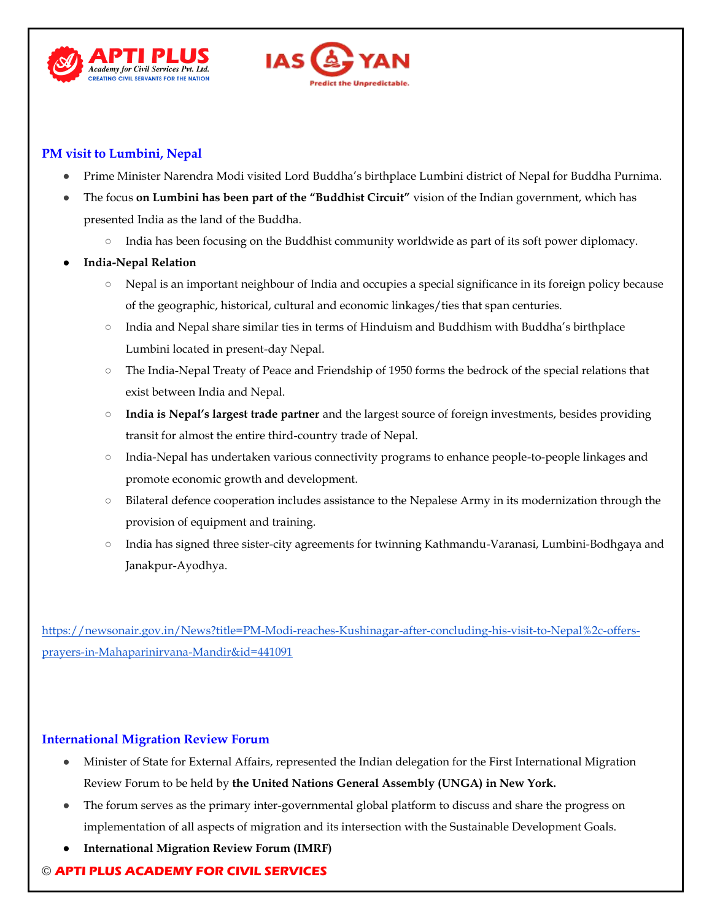



# **PM visit to Lumbini, Nepal**

- Prime Minister Narendra Modi visited Lord Buddha's birthplace Lumbini district of Nepal for Buddha Purnima.
- The focus **on Lumbini has been part of the "Buddhist Circuit"** vision of the Indian government, which has presented India as the land of the Buddha.
	- India has been focusing on the Buddhist community worldwide as part of its soft power diplomacy.
- **India-Nepal Relation**
	- Nepal is an important neighbour of India and occupies a special significance in its foreign policy because of the geographic, historical, cultural and economic linkages/ties that span centuries.
	- India and Nepal share similar ties in terms of Hinduism and Buddhism with Buddha's birthplace Lumbini located in present-day Nepal.
	- The India-Nepal Treaty of Peace and Friendship of 1950 forms the bedrock of the special relations that exist between India and Nepal.
	- **India is Nepal's largest trade partner** and the largest source of foreign investments, besides providing transit for almost the entire third-country trade of Nepal.
	- India-Nepal has undertaken various connectivity programs to enhance people-to-people linkages and promote economic growth and development.
	- Bilateral defence cooperation includes assistance to the Nepalese Army in its modernization through the provision of equipment and training.
	- India has signed three sister-city agreements for twinning Kathmandu-Varanasi, Lumbini-Bodhgaya and Janakpur-Ayodhya.

[https://newsonair.gov.in/News?title=PM-Modi-reaches-Kushinagar-after-concluding-his-visit-to-Nepal%2c-offers](https://newsonair.gov.in/News?title=PM-Modi-reaches-Kushinagar-after-concluding-his-visit-to-Nepal%2c-offers-prayers-in-Mahaparinirvana-Mandir&id=441091)[prayers-in-Mahaparinirvana-Mandir&id=441091](https://newsonair.gov.in/News?title=PM-Modi-reaches-Kushinagar-after-concluding-his-visit-to-Nepal%2c-offers-prayers-in-Mahaparinirvana-Mandir&id=441091)

### **International Migration Review Forum**

- Minister of State for External Affairs, represented the Indian delegation for the First International Migration Review Forum to be held by **the United Nations General Assembly (UNGA) in New York.**
- The forum serves as the primary inter-governmental global platform to discuss and share the progress on implementation of all aspects of migration and its intersection with the Sustainable Development Goals.
- **International Migration Review Forum (IMRF)**